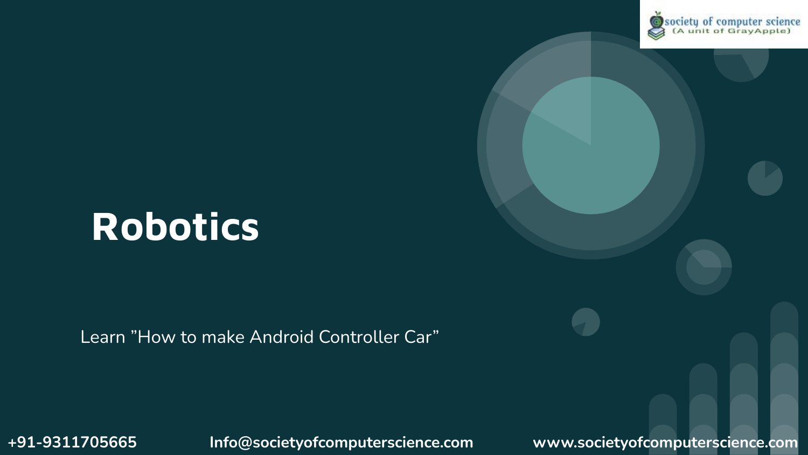

# **Robotics**

Learn "How to make Android Controller Car"

**+91-9311705665 Info@societyofcomputerscience.com www.societyofcomputerscience.com**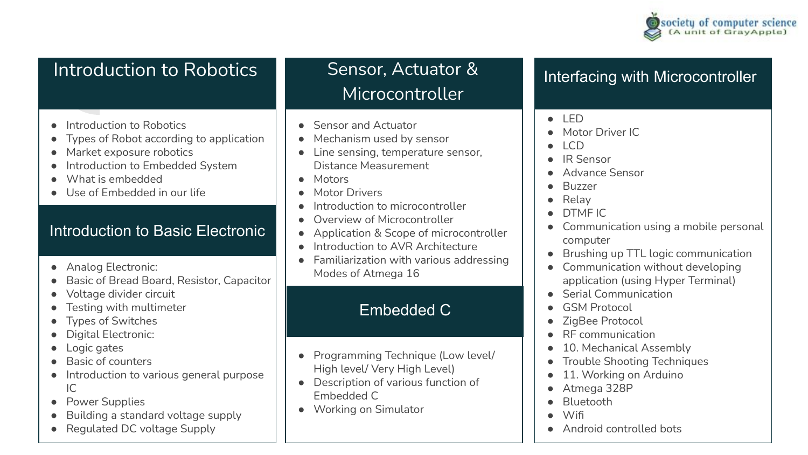

## Introduction to Robotics

- Introduction to Robotics
- Types of Robot according to application
- Market exposure robotics
- Introduction to Embedded System
- What is embedded
- Use of Embedded in our life

#### Introduction to Basic Electronic

- Analog Electronic:
- Basic of Bread Board, Resistor, Capacitor
- Voltage divider circuit
- Testing with multimeter
- **Types of Switches**
- Digital Electronic:
- Logic gates
- Basic of counters
- Introduction to various general purpose  $IC$
- Power Supplies
- Building a standard voltage supply
- Regulated DC voltage Supply

Sensor, Actuator & Microcontroller

- Sensor and Actuator
- Mechanism used by sensor
- Line sensing, temperature sensor, Distance Measurement
- Motors
- **Motor Drivers**
- Introduction to microcontroller
- Overview of Microcontroller
- Application & Scope of microcontroller
- Introduction to AVR Architecture
- Familiarization with various addressing Modes of Atmega 16

### Embedded C

- **Programming Technique (Low level/** High level/ Very High Level)
- **Description of various function of** Embedded C
- Working on Simulator

#### Interfacing with Microcontroller

- LED
- Motor Driver IC
- $LCD$
- IR Sensor
- Advance Sensor
- **Buzzer**
- **Relay**
- DTMF IC
- Communication using a mobile personal computer
- Brushing up TTL logic communication
- Communication without developing application (using Hyper Terminal)
- Serial Communication
- GSM Protocol
- ZigBee Protocol
- RF communication
- 10. Mechanical Assembly
- Trouble Shooting Techniques
- 11. Working on Arduino
- Atmega 328P
- **Bluetooth**
- Wifi
- Android controlled bots